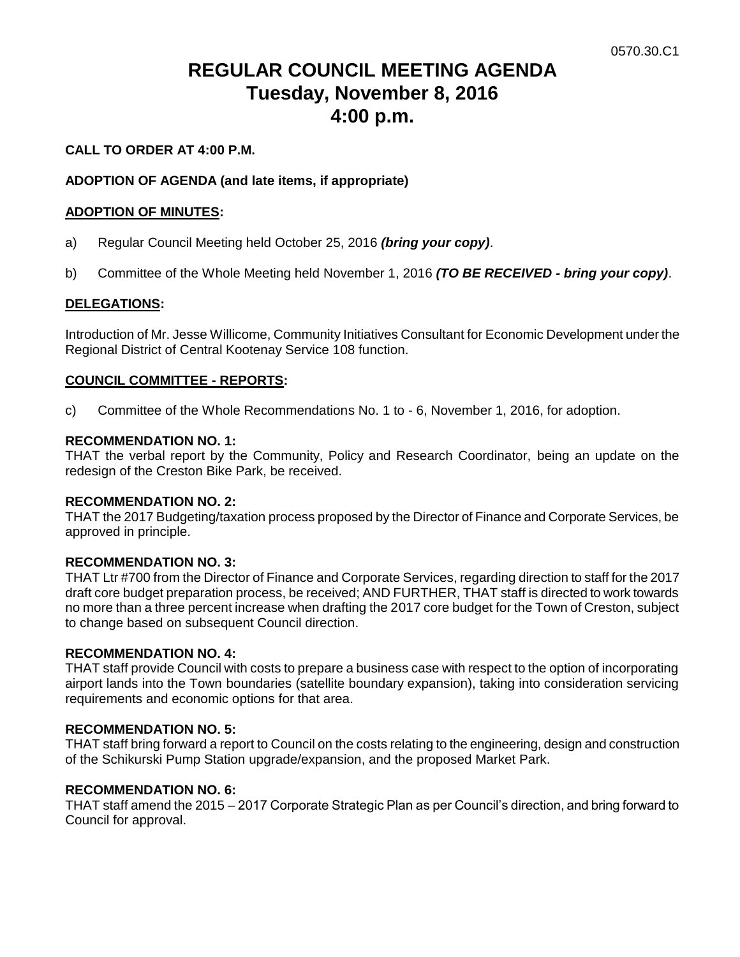# **REGULAR COUNCIL MEETING AGENDA Tuesday, November 8, 2016 4:00 p.m.**

# **CALL TO ORDER AT 4:00 P.M.**

## **ADOPTION OF AGENDA (and late items, if appropriate)**

### **ADOPTION OF MINUTES:**

- a) Regular Council Meeting held October 25, 2016 *(bring your copy)*.
- b) Committee of the Whole Meeting held November 1, 2016 *(TO BE RECEIVED - bring your copy)*.

### **DELEGATIONS:**

Introduction of Mr. Jesse Willicome, Community Initiatives Consultant for Economic Development under the Regional District of Central Kootenay Service 108 function.

### **COUNCIL COMMITTEE - REPORTS:**

c) Committee of the Whole Recommendations No. 1 to - 6, November 1, 2016, for adoption.

### **RECOMMENDATION NO. 1:**

THAT the verbal report by the Community, Policy and Research Coordinator, being an update on the redesign of the Creston Bike Park, be received.

### **RECOMMENDATION NO. 2:**

THAT the 2017 Budgeting/taxation process proposed by the Director of Finance and Corporate Services, be approved in principle.

### **RECOMMENDATION NO. 3:**

THAT Ltr #700 from the Director of Finance and Corporate Services, regarding direction to staff for the 2017 draft core budget preparation process, be received; AND FURTHER, THAT staff is directed to work towards no more than a three percent increase when drafting the 2017 core budget for the Town of Creston, subject to change based on subsequent Council direction.

# **RECOMMENDATION NO. 4:**

THAT staff provide Council with costs to prepare a business case with respect to the option of incorporating airport lands into the Town boundaries (satellite boundary expansion), taking into consideration servicing requirements and economic options for that area.

### **RECOMMENDATION NO. 5:**

THAT staff bring forward a report to Council on the costs relating to the engineering, design and construction of the Schikurski Pump Station upgrade/expansion, and the proposed Market Park.

### **RECOMMENDATION NO. 6:**

THAT staff amend the 2015 – 2017 Corporate Strategic Plan as per Council's direction, and bring forward to Council for approval.